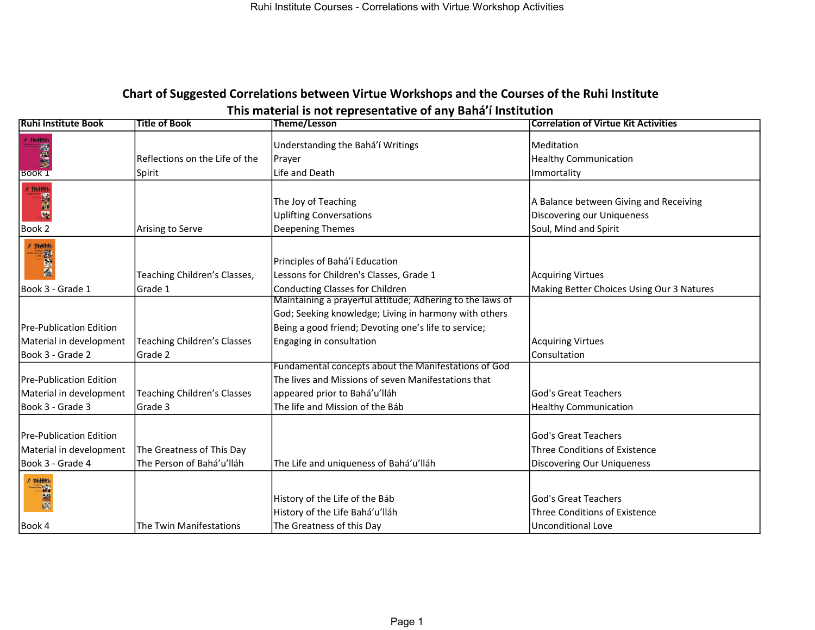## Chart of Suggested Correlations between Virtue Workshops and the Courses of the Ruhi Institute This material is not representative of any Bahá'í Institution

| <b>Ruhi Institute Book</b>     | <b>Title of Book</b>               | <b>Theme/Lesson</b>                                                                          | <b>Correlation of Virtue Kit Activities</b>                                                   |
|--------------------------------|------------------------------------|----------------------------------------------------------------------------------------------|-----------------------------------------------------------------------------------------------|
| <b>* THAHMI</b><br>图像图         | Reflections on the Life of the     | Understanding the Bahá'í Writings<br>Prayer                                                  | Meditation<br><b>Healthy Communication</b>                                                    |
| <b>Book 1</b>                  | Spirit                             | Life and Death                                                                               | Immortality                                                                                   |
| Book 2                         | Arising to Serve                   | The Joy of Teaching<br><b>Uplifting Conversations</b><br>Deepening Themes                    | A Balance between Giving and Receiving<br>Discovering our Uniqueness<br>Soul, Mind and Spirit |
|                                |                                    | Principles of Bahá'í Education                                                               |                                                                                               |
|                                | Teaching Children's Classes,       | Lessons for Children's Classes, Grade 1                                                      | <b>Acquiring Virtues</b>                                                                      |
| Book 3 - Grade 1               | Grade 1                            | Conducting Classes for Children<br>Maintaining a prayerful attitude; Adhering to the laws of | Making Better Choices Using Our 3 Natures                                                     |
|                                |                                    |                                                                                              |                                                                                               |
|                                |                                    | God; Seeking knowledge; Living in harmony with others                                        |                                                                                               |
| <b>Pre-Publication Edition</b> |                                    | Being a good friend; Devoting one's life to service;                                         |                                                                                               |
| Material in development        | <b>Teaching Children's Classes</b> | Engaging in consultation                                                                     | <b>Acquiring Virtues</b>                                                                      |
| Book 3 - Grade 2               | Grade 2                            |                                                                                              | Consultation                                                                                  |
|                                |                                    | Fundamental concepts about the Manifestations of God                                         |                                                                                               |
| <b>Pre-Publication Edition</b> |                                    | The lives and Missions of seven Manifestations that                                          |                                                                                               |
| Material in development        | <b>Teaching Children's Classes</b> | appeared prior to Bahá'u'lláh                                                                | God's Great Teachers                                                                          |
| Book 3 - Grade 3               | Grade 3                            | The life and Mission of the Báb                                                              | <b>Healthy Communication</b>                                                                  |
| <b>Pre-Publication Edition</b> |                                    |                                                                                              | lGod's Great Teachers                                                                         |
| Material in development        | The Greatness of This Day          |                                                                                              | <b>Three Conditions of Existence</b>                                                          |
| Book 3 - Grade 4               | The Person of Bahá'u'lláh          | The Life and uniqueness of Bahá'u'lláh                                                       | Discovering Our Uniqueness                                                                    |
|                                |                                    | History of the Life of the Báb<br>History of the Life Bahá'u'lláh                            | God's Great Teachers<br>Three Conditions of Existence                                         |
| Book 4                         | The Twin Manifestations            | The Greatness of this Day                                                                    | <b>Unconditional Love</b>                                                                     |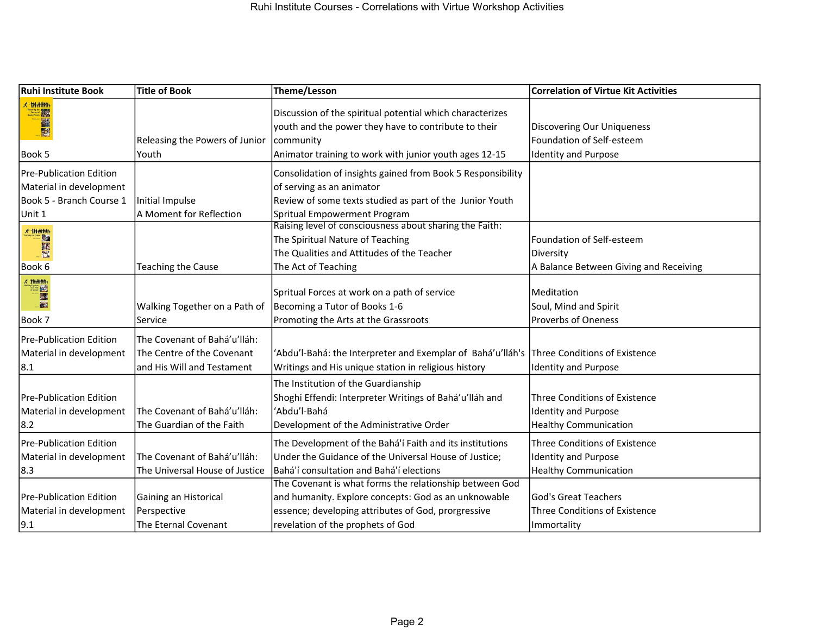| <b>Ruhi Institute Book</b>                                                                                                                                                                                                                                 | <b>Title of Book</b>                                                                     | Theme/Lesson                                                                                                                                                                                                | <b>Correlation of Virtue Kit Activities</b>                                                         |
|------------------------------------------------------------------------------------------------------------------------------------------------------------------------------------------------------------------------------------------------------------|------------------------------------------------------------------------------------------|-------------------------------------------------------------------------------------------------------------------------------------------------------------------------------------------------------------|-----------------------------------------------------------------------------------------------------|
| 大排削机<br><b>British Contract Contract Contract Contract Contract Contract Contract Contract Contract Contract Contract Contract Contract Contract Contract Contract Contract Contract Contract Contract Contract Contract Contract Contra</b><br>鹼<br>$-51$ | Releasing the Powers of Junior                                                           | Discussion of the spiritual potential which characterizes<br>youth and the power they have to contribute to their<br>community                                                                              | <b>Discovering Our Uniqueness</b><br>Foundation of Self-esteem                                      |
| Book 5                                                                                                                                                                                                                                                     | Youth                                                                                    | Animator training to work with junior youth ages 12-15                                                                                                                                                      | <b>Identity and Purpose</b>                                                                         |
| <b>Pre-Publication Edition</b><br>Material in development<br>Book 5 - Branch Course 1                                                                                                                                                                      | Initial Impulse<br>A Moment for Reflection                                               | Consolidation of insights gained from Book 5 Responsibility<br>of serving as an animator<br>Review of some texts studied as part of the Junior Youth<br>Spritual Empowerment Program                        |                                                                                                     |
| Unit 1                                                                                                                                                                                                                                                     |                                                                                          | Raising level of consciousness about sharing the Faith:                                                                                                                                                     |                                                                                                     |
| 才掛削抛<br><b>Ba</b><br>E                                                                                                                                                                                                                                     |                                                                                          | The Spiritual Nature of Teaching<br>The Qualities and Attitudes of the Teacher                                                                                                                              | Foundation of Self-esteem<br>Diversity                                                              |
| Book 6                                                                                                                                                                                                                                                     | <b>Teaching the Cause</b>                                                                | The Act of Teaching                                                                                                                                                                                         | A Balance Between Giving and Receiving                                                              |
| x thanh<br>E<br>图<br>Book 7                                                                                                                                                                                                                                | Walking Together on a Path of<br>Service                                                 | Spritual Forces at work on a path of service<br>Becoming a Tutor of Books 1-6<br>Promoting the Arts at the Grassroots                                                                                       | Meditation<br>Soul, Mind and Spirit<br>Proverbs of Oneness                                          |
| <b>Pre-Publication Edition</b><br>Material in development<br>8.1                                                                                                                                                                                           | The Covenant of Bahá'u'lláh:<br>The Centre of the Covenant<br>and His Will and Testament | 'Abdu'l-Bahá: the Interpreter and Exemplar of Bahá'u'lláh's Three Conditions of Existence<br>Writings and His unique station in religious history                                                           | <b>Identity and Purpose</b>                                                                         |
| <b>Pre-Publication Edition</b><br>Material in development<br>8.2                                                                                                                                                                                           | The Covenant of Bahá'u'lláh:<br>The Guardian of the Faith                                | The Institution of the Guardianship<br>Shoghi Effendi: Interpreter Writings of Bahá'u'lláh and<br>'Abdu'l-Bahá<br>Development of the Administrative Order                                                   | <b>Three Conditions of Existence</b><br><b>Identity and Purpose</b><br><b>Healthy Communication</b> |
| <b>Pre-Publication Edition</b><br>Material in development<br>8.3                                                                                                                                                                                           | The Covenant of Bahá'u'lláh:<br>The Universal House of Justice                           | The Development of the Bahá'í Faith and its institutions<br>Under the Guidance of the Universal House of Justice;<br>Bahá'í consultation and Bahá'í elections                                               | <b>Three Conditions of Existence</b><br><b>Identity and Purpose</b><br><b>Healthy Communication</b> |
| <b>Pre-Publication Edition</b><br>Material in development<br>9.1                                                                                                                                                                                           | Gaining an Historical<br>Perspective<br>The Eternal Covenant                             | The Covenant is what forms the relationship between God<br>and humanity. Explore concepts: God as an unknowable<br>essence; developing attributes of God, prorgressive<br>revelation of the prophets of God | lGod's Great Teachers<br><b>Three Conditions of Existence</b><br>Immortality                        |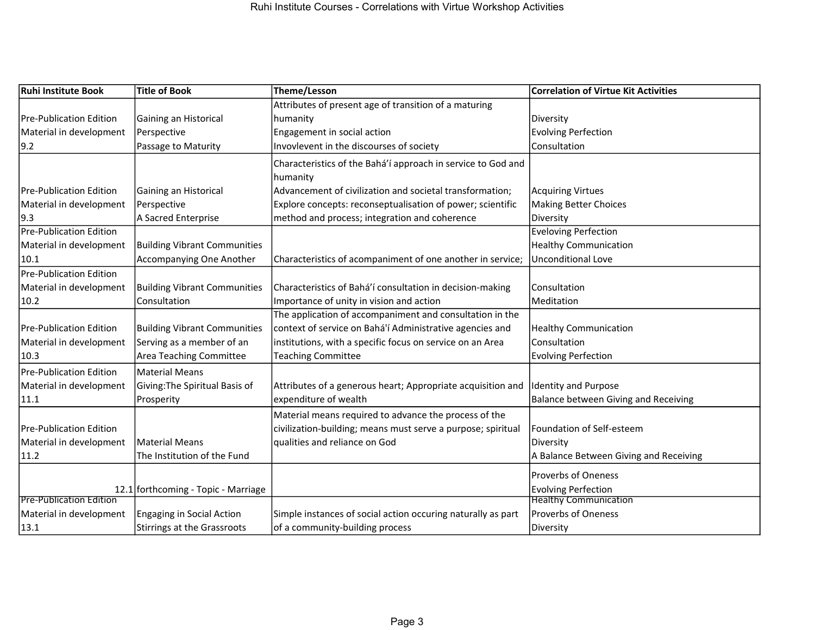| <b>Ruhi Institute Book</b>      | Title of Book                       | Theme/Lesson                                                 | <b>Correlation of Virtue Kit Activities</b> |
|---------------------------------|-------------------------------------|--------------------------------------------------------------|---------------------------------------------|
|                                 |                                     | Attributes of present age of transition of a maturing        |                                             |
| <b>Pre-Publication Edition</b>  | Gaining an Historical               | humanity                                                     | Diversity                                   |
| Material in development         | Perspective                         | Engagement in social action                                  | <b>Evolving Perfection</b>                  |
| 9.2                             | Passage to Maturity                 | Invovlevent in the discourses of society                     | Consultation                                |
|                                 |                                     | Characteristics of the Bahá'í approach in service to God and |                                             |
|                                 |                                     | humanity                                                     |                                             |
| <b>IPre-Publication Edition</b> | Gaining an Historical               | Advancement of civilization and societal transformation;     | <b>Acquiring Virtues</b>                    |
| Material in development         | Perspective                         | Explore concepts: reconseptualisation of power; scientific   | <b>Making Better Choices</b>                |
| 9.3                             | A Sacred Enterprise                 | method and process; integration and coherence                | Diversity                                   |
| <b>Pre-Publication Edition</b>  |                                     |                                                              | <b>Eveloving Perfection</b>                 |
| Material in development         | <b>Building Vibrant Communities</b> |                                                              | <b>Healthy Communication</b>                |
| 10.1                            | Accompanying One Another            | Characteristics of acompaniment of one another in service;   | <b>Unconditional Love</b>                   |
| Pre-Publication Edition         |                                     |                                                              |                                             |
| Material in development         | <b>Building Vibrant Communities</b> | Characteristics of Bahá'í consultation in decision-making    | Consultation                                |
| 10.2                            | Consultation                        | Importance of unity in vision and action                     | Meditation                                  |
|                                 |                                     | The application of accompaniment and consultation in the     |                                             |
| <b>Pre-Publication Edition</b>  | <b>Building Vibrant Communities</b> | context of service on Bahá'í Administrative agencies and     | <b>Healthy Communication</b>                |
| Material in development         | Serving as a member of an           | institutions, with a specific focus on service on an Area    | Consultation                                |
| 10.3                            | Area Teaching Committee             | <b>Teaching Committee</b>                                    | <b>Evolving Perfection</b>                  |
| Pre-Publication Edition         | Material Means                      |                                                              |                                             |
| Material in development         | Giving: The Spiritual Basis of      | Attributes of a generous heart; Appropriate acquisition and  | <b>Identity and Purpose</b>                 |
| 11.1                            | Prosperity                          | expenditure of wealth                                        | <b>Balance between Giving and Receiving</b> |
|                                 |                                     | Material means required to advance the process of the        |                                             |
| <b>IPre-Publication Edition</b> |                                     | civilization-building; means must serve a purpose; spiritual | Foundation of Self-esteem                   |
| Material in development         | Material Means                      | qualities and reliance on God                                | Diversity                                   |
| 11.2                            | The Institution of the Fund         |                                                              | A Balance Between Giving and Receiving      |
|                                 |                                     |                                                              | <b>Proverbs of Oneness</b>                  |
|                                 |                                     |                                                              | <b>Evolving Perfection</b>                  |
| <b>Pre-Publication Edition</b>  | 12.1 forthcoming - Topic - Marriage |                                                              | <b>Healthy Communication</b>                |
| Material in development         | Engaging in Social Action           | Simple instances of social action occuring naturally as part | Proverbs of Oneness                         |
| 13.1                            | Stirrings at the Grassroots         | of a community-building process                              | Diversity                                   |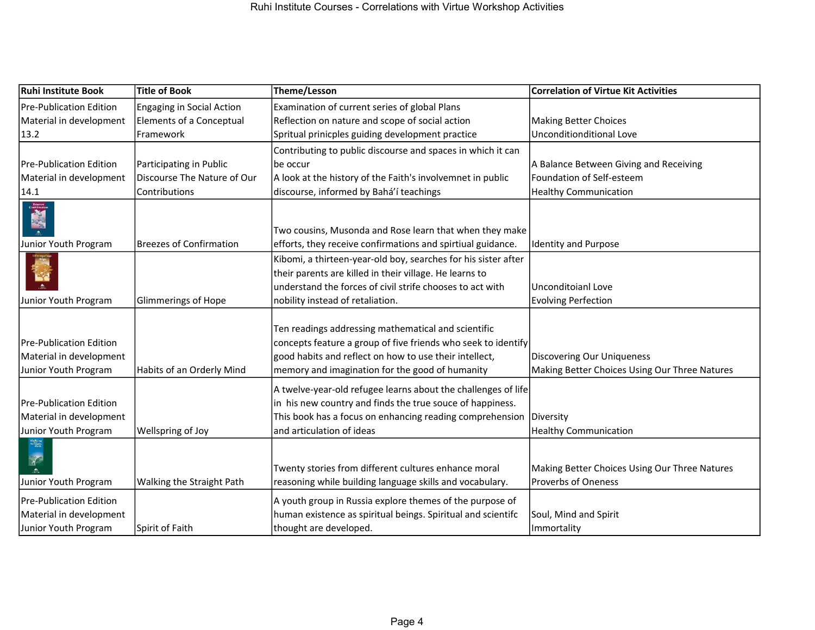| Ruhi Institute Book                                                                | <b>Title of Book</b>           | Theme/Lesson                                                                                                                                                                                                                      | <b>Correlation of Virtue Kit Activities</b>                                        |
|------------------------------------------------------------------------------------|--------------------------------|-----------------------------------------------------------------------------------------------------------------------------------------------------------------------------------------------------------------------------------|------------------------------------------------------------------------------------|
| Pre-Publication Edition                                                            | Engaging in Social Action      | Examination of current series of global Plans                                                                                                                                                                                     |                                                                                    |
| Material in development                                                            | Elements of a Conceptual       | Reflection on nature and scope of social action                                                                                                                                                                                   | <b>Making Better Choices</b>                                                       |
| 13.2                                                                               | Framework                      | Spritual prinicples guiding development practice                                                                                                                                                                                  | <b>Unconditionditional Love</b>                                                    |
|                                                                                    |                                | Contributing to public discourse and spaces in which it can                                                                                                                                                                       |                                                                                    |
| Pre-Publication Edition                                                            | Participating in Public        | be occur                                                                                                                                                                                                                          | A Balance Between Giving and Receiving                                             |
| Material in development                                                            | Discourse The Nature of Our    | A look at the history of the Faith's involvemnet in public                                                                                                                                                                        | Foundation of Self-esteem                                                          |
| 14.1                                                                               | Contributions                  | discourse, informed by Bahá'í teachings                                                                                                                                                                                           | <b>Healthy Communication</b>                                                       |
| Junior Youth Program                                                               | <b>Breezes of Confirmation</b> | Two cousins, Musonda and Rose learn that when they make<br>efforts, they receive confirmations and spirtiual guidance.                                                                                                            | <b>Identity and Purpose</b>                                                        |
|                                                                                    |                                | Kibomi, a thirteen-year-old boy, searches for his sister after                                                                                                                                                                    |                                                                                    |
|                                                                                    |                                | their parents are killed in their village. He learns to                                                                                                                                                                           |                                                                                    |
|                                                                                    |                                | understand the forces of civil strife chooses to act with                                                                                                                                                                         | Unconditoianl Love                                                                 |
| Junior Youth Program                                                               | Glimmerings of Hope            | nobility instead of retaliation.                                                                                                                                                                                                  | <b>Evolving Perfection</b>                                                         |
| Pre-Publication Edition<br>Material in development<br>Junior Youth Program         | Habits of an Orderly Mind      | Ten readings addressing mathematical and scientific<br>concepts feature a group of five friends who seek to identify<br>good habits and reflect on how to use their intellect,<br>memory and imagination for the good of humanity | <b>Discovering Our Uniqueness</b><br>Making Better Choices Using Our Three Natures |
| <b>IPre-Publication Edition</b><br>Material in development<br>Junior Youth Program | Wellspring of Joy              | A twelve-year-old refugee learns about the challenges of life<br>in his new country and finds the true souce of happiness.<br>This book has a focus on enhancing reading comprehension<br>and articulation of ideas               | Diversity<br><b>Healthy Communication</b>                                          |
| Walking<br>Straight<br>Path<br>Junior Youth Program                                | Walking the Straight Path      | Twenty stories from different cultures enhance moral<br>reasoning while building language skills and vocabulary.                                                                                                                  | Making Better Choices Using Our Three Natures<br><b>Proverbs of Oneness</b>        |
| Pre-Publication Edition                                                            |                                | A youth group in Russia explore themes of the purpose of                                                                                                                                                                          |                                                                                    |
| Material in development                                                            |                                | human existence as spiritual beings. Spiritual and scientifc                                                                                                                                                                      | Soul, Mind and Spirit                                                              |
| Junior Youth Program                                                               | Spirit of Faith                | thought are developed.                                                                                                                                                                                                            | Immortality                                                                        |